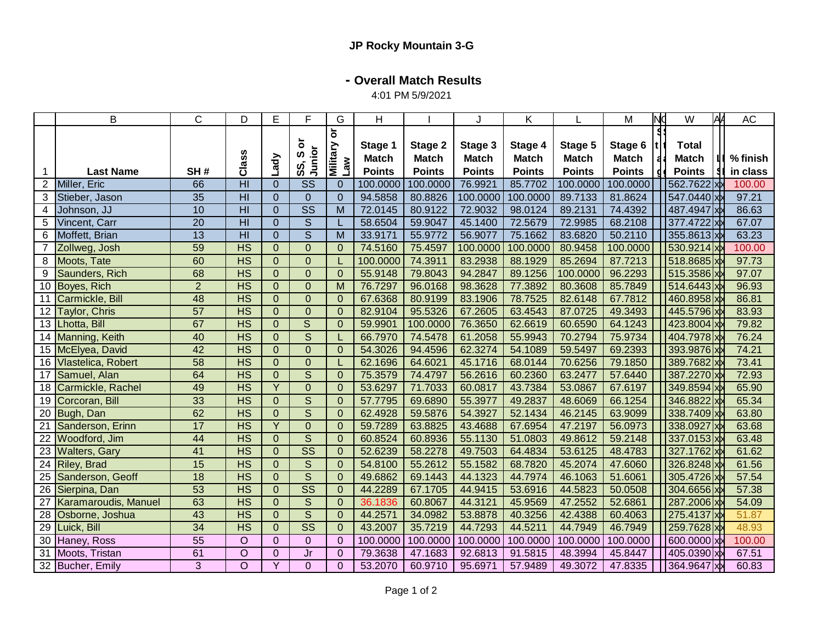## **- Overall Match Results**

4:01 PM 5/9/2021

|                 | B                           | C               | D                        | Ε              | F                       | G                                               | H                                        |                                          |                                          | Κ                                        |                                          | M                                        | 10 | W                                             | AA | <b>AC</b>            |
|-----------------|-----------------------------|-----------------|--------------------------|----------------|-------------------------|-------------------------------------------------|------------------------------------------|------------------------------------------|------------------------------------------|------------------------------------------|------------------------------------------|------------------------------------------|----|-----------------------------------------------|----|----------------------|
|                 | <b>Last Name</b>            | SH#             | Class                    | Lady           | ŏ<br>Junior<br>n<br>SS, | $\overleftarrow{\mathbf{o}}$<br>Military<br>Law | Stage 1<br><b>Match</b><br><b>Points</b> | Stage 2<br><b>Match</b><br><b>Points</b> | Stage 3<br><b>Match</b><br><b>Points</b> | Stage 4<br><b>Match</b><br><b>Points</b> | Stage 5<br><b>Match</b><br><b>Points</b> | Stage 6<br><b>Match</b><br><b>Points</b> |    | <b>Total</b><br><b>Match</b><br><b>Points</b> |    | % finish<br>in class |
| $\overline{c}$  | Miller, Eric                | 66              | $\overline{H}$           | $\overline{0}$ | <b>SS</b>               | $\overline{0}$                                  | 100.0000                                 | 100.0000                                 | 76.9921                                  | 85.7702                                  | 100.0000                                 | 100.0000                                 |    | 562.7622 x                                    |    | 100.00               |
| 3               | Stieber, Jason              | 35              | H <sub>l</sub>           | $\overline{0}$ | $\Omega$                | $\Omega$                                        | 94.5858                                  | 80.8826                                  | 100.0000                                 | 100.0000                                 | 89.7133                                  | 81.8624                                  |    | 547.0440 xx                                   |    | 97.21                |
| 4               | Johnson, JJ                 | 10              | $\overline{H}$           | $\overline{0}$ | $\overline{\text{ss}}$  | $\overline{M}$                                  | 72.0145                                  | 80.9122                                  | 72.9032                                  | 98.0124                                  | 89.2131                                  | 74.4392                                  |    | 487.4947 xx                                   |    | 86.63                |
| 5               | Vincent, Carr               | 20              | $\overline{H}$           | $\overline{0}$ | $\overline{S}$          |                                                 | 58.6504                                  | 59.9047                                  | 45.1400                                  | 72.5679                                  | 72.9985                                  | 68.2108                                  |    | 377.4722 xx                                   |    | 67.07                |
| 6               | Moffett, Brian              | $\overline{13}$ | $\overline{H}$           | $\overline{0}$ | $\overline{\mathsf{s}}$ | $\overline{M}$                                  | 33.9171                                  | 55.9772                                  | 56.9077                                  | 75.1662                                  | 83.6820                                  | 50.2110                                  |    | 355.8613 xx                                   |    | 63.23                |
| 7               | Zollweg, Josh               | 59              | $\overline{\text{HS}}$   | $\overline{0}$ | $\Omega$                | $\Omega$                                        | 74.5160                                  | 75.4597                                  | 100.0000                                 | 100.0000                                 | 80.9458                                  | 100.0000                                 |    | 530.9214 xx                                   |    | 100.00               |
| 8               | Moots, Tate                 | 60              | $\overline{\mathsf{HS}}$ | $\overline{0}$ | $\overline{0}$          |                                                 | 100.0000                                 | 74.3911                                  | 83.2938                                  | 88.1929                                  | 85.2694                                  | 87.7213                                  |    | 518.8685 x                                    |    | 97.73                |
| 9               | Saunders, Rich              | 68              | $\overline{\text{HS}}$   | $\overline{0}$ | $\mathbf{0}$            | $\Omega$                                        | 55.9148                                  | 79.8043                                  | 94.2847                                  | 89.1256                                  | 100.0000                                 | 96.2293                                  |    | 515.3586 x                                    |    | 97.07                |
| 10 <sup>°</sup> | Boyes, Rich                 | $\overline{2}$  | $\overline{\mathsf{HS}}$ | $\overline{0}$ | $\overline{0}$          | M                                               | 76.7297                                  | 96.0168                                  | 98.3628                                  | 77.3892                                  | 80.3608                                  | 85.7849                                  |    | 514.6443 x                                    |    | 96.93                |
| 11              | Carmickle, Bill             | 48              | $\overline{\mathsf{HS}}$ | $\overline{0}$ | $\mathbf{0}$            | $\Omega$                                        | 67.6368                                  | 80.9199                                  | 83.1906                                  | 78.7525                                  | 82.6148                                  | 67.7812                                  |    | 460.8958 x                                    |    | 86.81                |
| 12              | Taylor, Chris               | 57              | $\overline{\text{HS}}$   | $\overline{0}$ | $\mathbf 0$             | $\Omega$                                        | 82.9104                                  | 95.5326                                  | 67.2605                                  | 63.4543                                  | 87.0725                                  | 49.3493                                  |    | 445.5796 x                                    |    | 83.93                |
| 13 <sup>°</sup> | Lhotta, Bill                | 67              | HS                       | $\mathbf{0}$   | S                       | $\Omega$                                        | 59.9901                                  | 100.0000                                 | 76.3650                                  | 62.6619                                  | 60.6590                                  | 64.1243                                  |    | 423.8004 x                                    |    | 79.82                |
|                 | 14 Manning, Keith           | 40              | $\overline{\mathsf{HS}}$ | $\overline{0}$ | $\overline{S}$          |                                                 | 66.7970                                  | 74.5478                                  | 61.2058                                  | 55.9943                                  | 70.2794                                  | 75.9734                                  |    | 404.7978 xx                                   |    | 76.24                |
|                 | 15 McElyea, David           | 42              | $\overline{\text{HS}}$   | $\overline{0}$ | $\overline{0}$          | $\Omega$                                        | 54.3026                                  | 94.4596                                  | 62.3274                                  | 54.1089                                  | 59.5497                                  | 69.2393                                  |    | 393.9876 xx                                   |    | 74.21                |
|                 | 16 Vlastelica, Robert       | 58              | $\overline{HS}$          | $\overline{0}$ | $\mathbf 0$             |                                                 | 62.1696                                  | 64.6021                                  | 45.1716                                  | 68.0144                                  | 70.6256                                  | 79.1850                                  |    | 389.7682 x                                    |    | 73.41                |
|                 | 17 Samuel, Alan             | 64              | $\overline{\mathsf{HS}}$ | $\overline{0}$ | $\overline{S}$          | $\Omega$                                        | 75.3579                                  | 74.4797                                  | 56.2616                                  | 60.2360                                  | 63.2477                                  | 57.6440                                  |    | 387.2270 xx                                   |    | 72.93                |
|                 | 18 Carmickle, Rachel        | 49              | $\overline{\text{HS}}$   | $\overline{Y}$ | $\overline{0}$          | $\Omega$                                        | 53.6297                                  | 71.7033                                  | 60.0817                                  | 43.7384                                  | 53.0867                                  | 67.6197                                  |    | 349.8594 xx                                   |    | 65.90                |
|                 | 19 Corcoran, Bill           | 33              | $\overline{HS}$          | $\overline{0}$ | $\overline{S}$          | $\mathbf{0}$                                    | 57.7795                                  | 69.6890                                  | 55.3977                                  | 49.2837                                  | 48.6069                                  | 66.1254                                  |    | 346.8822 xx                                   |    | 65.34                |
|                 | 20 Bugh, Dan                | 62              | HS                       | $\overline{0}$ | $\overline{S}$          | $\Omega$                                        | 62.4928                                  | 59.5876                                  | 54.3927                                  | 52.1434                                  | 46.2145                                  | 63.9099                                  |    | 338.7409 xx                                   |    | 63.80                |
| $\overline{21}$ | Sanderson, Erinn            | $\overline{17}$ | $\overline{HS}$          | $\overline{Y}$ | $\overline{0}$          | $\Omega$                                        | 59.7289                                  | 63.8825                                  | 43.4688                                  | 67.6954                                  | 47.2197                                  | 56.0973                                  |    | 338.0927 xx                                   |    | 63.68                |
| 22              | Woodford, Jim               | 44              | $\overline{\mathsf{HS}}$ | $\overline{0}$ | $\overline{S}$          | $\Omega$                                        | 60.8524                                  | 60.8936                                  | 55.1130                                  | 51.0803                                  | 49.8612                                  | 59.2148                                  |    | 337.0153 xx                                   |    | 63.48                |
| $\overline{23}$ | <b>Walters, Gary</b>        | $\overline{41}$ | $\overline{HS}$          | $\overline{0}$ | $\overline{\text{SS}}$  | $\mathbf{0}$                                    | 52.6239                                  | 58.2278                                  | 49.7503                                  | 64.4834                                  | 53.6125                                  | 48.4783                                  |    | 327.1762 x                                    |    | 61.62                |
| 24              | <b>Riley, Brad</b>          | 15              | HS                       | $\overline{0}$ | $\overline{S}$          | $\Omega$                                        | 54.8100                                  | 55.2612                                  | 55.1582                                  | 68.7820                                  | 45.2074                                  | 47.6060                                  |    | 326.8248 x                                    |    | 61.56                |
| 25              | Sanderson, Geoff            | $\overline{18}$ | HS                       | $\overline{0}$ | $\overline{s}$          | $\Omega$                                        | 49.6862                                  | 69.1443                                  | 44.1323                                  | 44.7974                                  | 46.1063                                  | 51.6061                                  |    | 305.4726 x                                    |    | 57.54                |
| 26              | Sierpina, Dan               | 53              | $\overline{HS}$          | $\overline{0}$ | $\overline{\text{SS}}$  | $\Omega$                                        | 44.2289                                  | 67.1705                                  | 44.9415                                  | 53.6916                                  | 44.5823                                  | 50.0508                                  |    | 304.6656 x                                    |    | 57.38                |
| $\overline{27}$ | <b>Karamaroudis, Manuel</b> | 63              | $\overline{\text{HS}}$   | $\overline{0}$ | $\overline{\mathsf{s}}$ | $\overline{0}$                                  | 36.1836                                  | 60.8067                                  | 44.3121                                  | 45.9569                                  | 47.2552                                  | 52.6861                                  |    | 287.2006 xx                                   |    | 54.09                |
| 28              | Osborne, Joshua             | 43              | <b>HS</b>                | $\overline{0}$ | S                       | $\mathbf{0}$                                    | 44.2571                                  | 34.0982                                  | 53.8878                                  | 40.3256                                  | 42.4388                                  | 60.4063                                  |    | 275.4137 xx                                   |    | 51.87                |
| $\overline{29}$ | Luick, Bill                 | 34              | $\overline{\text{HS}}$   | $\overline{0}$ | $\overline{\text{SS}}$  | $\mathbf{0}$                                    | 43.2007                                  | 35.7219                                  | 44.7293                                  | 44.5211                                  | 44.7949                                  | 46.7949                                  |    | 259.7628 xx                                   |    | 48.93                |
|                 | 30 Haney, Ross              | 55              | $\circ$                  | $\mathbf{0}$   | $\mathbf 0$             | $\mathbf{0}$                                    | 100.0000                                 | 100.0000                                 | 100.0000                                 | 100.0000                                 | 100.0000                                 | 100.0000                                 |    | 600.0000 xx                                   |    | 100.00               |
| 31              | Moots, Tristan              | 61              | $\circ$                  | $\overline{0}$ | Jr                      | $\Omega$                                        | 79.3638                                  | 47.1683                                  | 92.6813                                  | 91.5815                                  | 48.3994                                  | 45.8447                                  |    | 405.0390 xx                                   |    | 67.51                |
|                 | 32 Bucher, Emily            | $\overline{3}$  | $\overline{O}$           | $\overline{Y}$ | $\overline{0}$          | $\Omega$                                        | 53.2070                                  | 60.9710                                  | 95.6971                                  | 57.9489                                  | 49.3072                                  | 47.8335                                  |    | 364.9647 xx                                   |    | 60.83                |